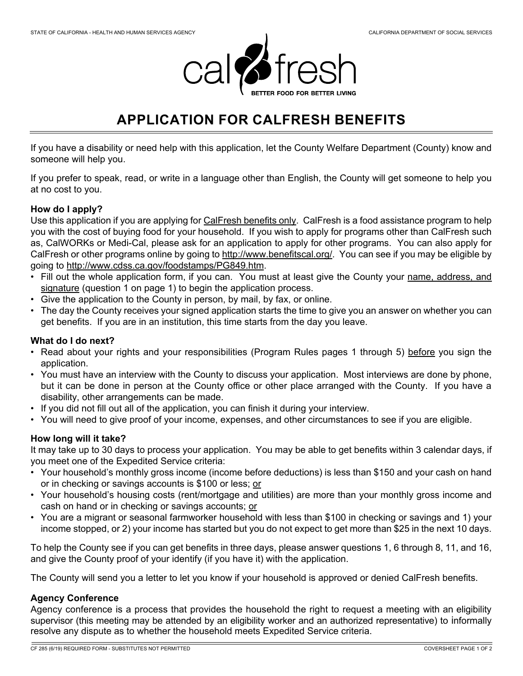

# **APPLICATION FOR CALFRESH BENEFITS**

If you have a disability or need help with this application, let the County Welfare Department (County) know and someone will help you.

If you prefer to speak, read, or write in a language other than English, the County will get someone to help you at no cost to you.

# **How do I apply?**

Use this application if you are applying for CalFresh benefits only. CalFresh is a food assistance program to help you with the cost of buying food for your household. If you wish to apply for programs other than CalFresh such as, CalWORKs or Medi-Cal, please ask for an application to apply for other programs. You can also apply for CalFresh or other programs online by going to http://www.benefitscal.org/. You can see if you may be eligible by going to http://www.cdss.ca.gov/foodstamps/PG849.htm.

- Fill out the whole application form, if you can. You must at least give the County your name, address, and signature (question 1 on page 1) to begin the application process.
- Give the application to the County in person, by mail, by fax, or online.
- The day the County receives your signed application starts the time to give you an answer on whether you can get benefits. If you are in an institution, this time starts from the day you leave.

# **What do I do next?**

- Read about your rights and your responsibilities (Program Rules pages 1 through 5) before you sign the application.
- You must have an interview with the County to discuss your application. Most interviews are done by phone, but it can be done in person at the County office or other place arranged with the County. If you have a disability, other arrangements can be made.
- If you did not fill out all of the application, you can finish it during your interview.
- You will need to give proof of your income, expenses, and other circumstances to see if you are eligible.

# **How long will it take?**

It may take up to 30 days to process your application. You may be able to get benefits within 3 calendar days, if you meet one of the Expedited Service criteria:

- Your household's monthly gross income (income before deductions) is less than \$150 and your cash on hand or in checking or savings accounts is \$100 or less; or
- Your household's housing costs (rent/mortgage and utilities) are more than your monthly gross income and cash on hand or in checking or savings accounts; or
- You are a migrant or seasonal farmworker household with less than \$100 in checking or savings and 1) your income stopped, or 2) your income has started but you do not expect to get more than \$25 in the next 10 days.

To help the County see if you can get benefits in three days, please answer questions 1, 6 through 8, 11, and 16, and give the County proof of your identify (if you have it) with the application.

The County will send you a letter to let you know if your household is approved or denied CalFresh benefits.

# **Agency Conference**

Agency conference is a process that provides the household the right to request a meeting with an eligibility supervisor (this meeting may be attended by an eligibility worker and an authorized representative) to informally resolve any dispute as to whether the household meets Expedited Service criteria.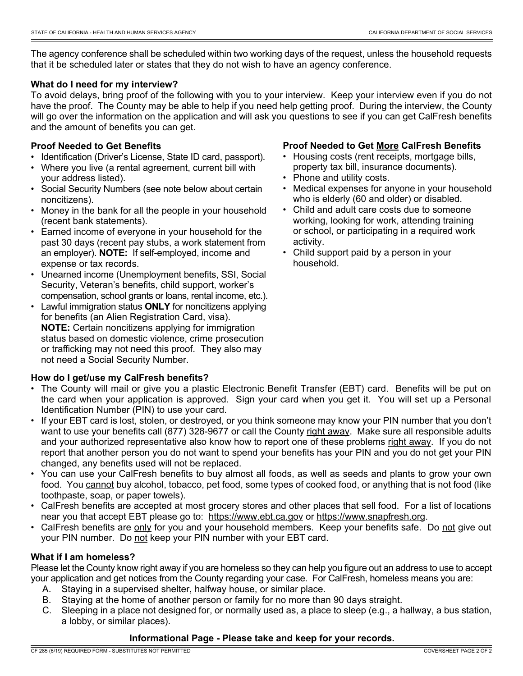The agency conference shall be scheduled within two working days of the request, unless the household requests that it be scheduled later or states that they do not wish to have an agency conference.

### **What do I need for my interview?**

To avoid delays, bring proof of the following with you to your interview. Keep your interview even if you do not have the proof. The County may be able to help if you need help getting proof. During the interview, the County will go over the information on the application and will ask you questions to see if you can get CalFresh benefits and the amount of benefits you can get.

### **Proof Needed to Get Benefits**

- Identification (Driver's License, State ID card, passport).
- Where you live (a rental agreement, current bill with your address listed).
- Social Security Numbers (see note below about certain noncitizens).
- Money in the bank for all the people in your household (recent bank statements).
- Earned income of everyone in your household for the past 30 days (recent pay stubs, a work statement from an employer). **NOTE:** If self-employed, income and expense or tax records.
- Unearned income (Unemployment benefits, SSI, Social Security, Veteran's benefits, child support, worker's compensation, school grants or loans, rental income, etc.).
- Lawful immigration status **ONLY** for noncitizens applying for benefits (an Alien Registration Card, visa). **NOTE:** Certain noncitizens applying for immigration status based on domestic violence, crime prosecution or trafficking may not need this proof. They also may not need a Social Security Number.

# **How do I get/use my CalFresh benefits?**

### **Proof Needed to Get More CalFresh Benefits**

- Housing costs (rent receipts, mortgage bills, property tax bill, insurance documents).
- Phone and utility costs.
- Medical expenses for anyone in your household who is elderly (60 and older) or disabled.
- Child and adult care costs due to someone working, looking for work, attending training or school, or participating in a required work activity.
- Child support paid by a person in your household.

- The County will mail or give you a plastic Electronic Benefit Transfer (EBT) card. Benefits will be put on the card when your application is approved. Sign your card when you get it. You will set up a Personal Identification Number (PIN) to use your card.
- If your EBT card is lost, stolen, or destroyed, or you think someone may know your PIN number that you don't want to use your benefits call (877) 328-9677 or call the County right away. Make sure all responsible adults and your authorized representative also know how to report one of these problems right away. If you do not report that another person you do not want to spend your benefits has your PIN and you do not get your PIN changed, any benefits used will not be replaced.
- You can use your CalFresh benefits to buy almost all foods, as well as seeds and plants to grow your own food. You cannot buy alcohol, tobacco, pet food, some types of cooked food, or anything that is not food (like toothpaste, soap, or paper towels).
- CalFresh benefits are accepted at most grocery stores and other places that sell food. For a list of locations near you that accept EBT please go to: https://www.ebt.ca.gov or https://www.snapfresh.org.
- CalFresh benefits are only for you and your household members. Keep your benefits safe. Do not give out your PIN number. Do not keep your PIN number with your EBT card.

# **What if I am homeless?**

Please let the County know right away if you are homeless so they can help you figure out an address to use to accept your application and get notices from the County regarding your case. For CalFresh, homeless means you are:

- A. Staying in a supervised shelter, halfway house, or similar place.
- B. Staying at the home of another person or family for no more than 90 days straight.
- C. Sleeping in a place not designed for, or normally used as, a place to sleep (e.g., a hallway, a bus station, a lobby, or similar places).

### **Informational Page - Please take and keep for your records.**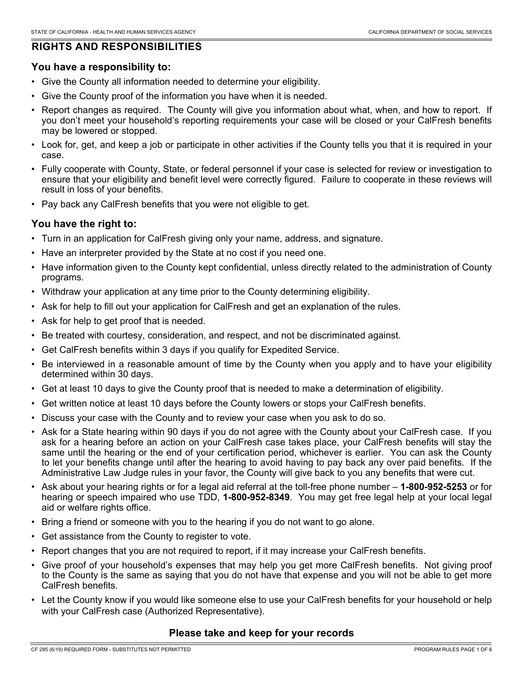# **RIGHTS AND RESPONSIBILITIES**

# **You have a responsibility to:**

- Give the County all information needed to determine your eligibility.
- Give the County proof of the information you have when it is needed.
- Report changes as required. The County will give you information about what, when, and how to report. If you don't meet your household's reporting requirements your case will be closed or your CalFresh benefits may be lowered or stopped.
- Look for, get, and keep a job or participate in other activities if the County tells you that it is required in your case.
- Fully cooperate with County, State, or federal personnel if your case is selected for review or investigation to ensure that your eligibility and benefit level were correctly figured. Failure to cooperate in these reviews will result in loss of your benefits.
- Pay back any CalFresh benefits that you were not eligible to get.

# **You have the right to:**

- Turn in an application for CalFresh giving only your name, address, and signature.
- Have an interpreter provided by the State at no cost if you need one.
- Have information given to the County kept confidential, unless directly related to the administration of County programs.
- Withdraw your application at any time prior to the County determining eligibility.
- Ask for help to fill out your application for CalFresh and get an explanation of the rules.
- Ask for help to get proof that is needed.
- Be treated with courtesy, consideration, and respect, and not be discriminated against.
- Get CalFresh benefits within 3 days if you qualify for Expedited Service.
- Be interviewed in a reasonable amount of time by the County when you apply and to have your eligibility determined within 30 days.
- Get at least 10 days to give the County proof that is needed to make a determination of eligibility.
- Get written notice at least 10 days before the County lowers or stops your CalFresh benefits.
- Discuss your case with the County and to review your case when you ask to do so.
- Ask for a State hearing within 90 days if you do not agree with the County about your CalFresh case. If you ask for a hearing before an action on your CalFresh case takes place, your CalFresh benefits will stay the same until the hearing or the end of your certification period, whichever is earlier. You can ask the County to let your benefits change until after the hearing to avoid having to pay back any over paid benefits. If the Administrative Law Judge rules in your favor, the County will give back to you any benefits that were cut.
- Ask about your hearing rights or for a legal aid referral at the toll-free phone number **1-800-952-5253** or for hearing or speech impaired who use TDD, **1-800-952-8349**. You may get free legal help at your local legal aid or welfare rights office.
- Bring a friend or someone with you to the hearing if you do not want to go alone.
- Get assistance from the County to register to vote.
- Report changes that you are not required to report, if it may increase your CalFresh benefits.
- Give proof of your household's expenses that may help you get more CalFresh benefits. Not giving proof to the County is the same as saying that you do not have that expense and you will not be able to get more CalFresh benefits.
- Let the County know if you would like someone else to use your CalFresh benefits for your household or help with your CalFresh case (Authorized Representative).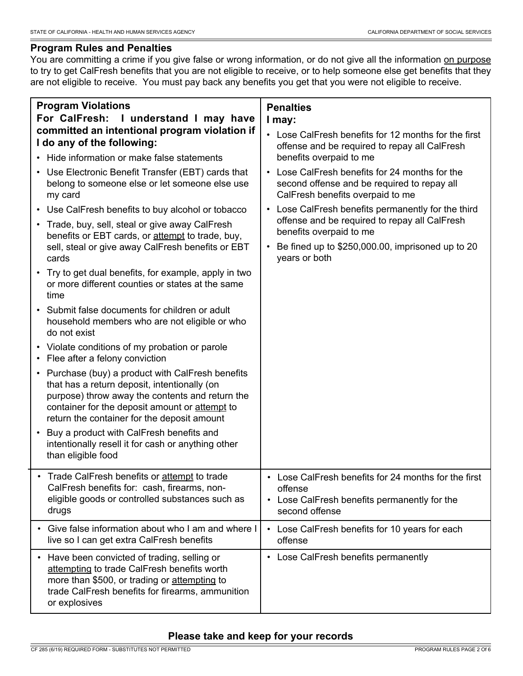# **Program Rules and Penalties**

You are committing a crime if you give false or wrong information, or do not give all the information on purpose to try to get CalFresh benefits that you are not eligible to receive, or to help someone else get benefits that they are not eligible to receive. You must pay back any benefits you get that you were not eligible to receive.

| <b>Program Violations</b><br>For CalFresh:<br>I understand I may have<br>committed an intentional program violation if                                                                                                                                | <b>Penalties</b><br>I may:<br>• Lose CalFresh benefits for 12 months for the first                                                           |
|-------------------------------------------------------------------------------------------------------------------------------------------------------------------------------------------------------------------------------------------------------|----------------------------------------------------------------------------------------------------------------------------------------------|
| I do any of the following:<br>• Hide information or make false statements                                                                                                                                                                             | offense and be required to repay all CalFresh<br>benefits overpaid to me                                                                     |
| • Use Electronic Benefit Transfer (EBT) cards that<br>belong to someone else or let someone else use<br>my card                                                                                                                                       | Lose CalFresh benefits for 24 months for the<br>second offense and be required to repay all<br>CalFresh benefits overpaid to me              |
| • Use CalFresh benefits to buy alcohol or tobacco<br>• Trade, buy, sell, steal or give away CalFresh<br>benefits or EBT cards, or attempt to trade, buy,                                                                                              | Lose CalFresh benefits permanently for the third<br>$\bullet$<br>offense and be required to repay all CalFresh<br>benefits overpaid to me    |
| sell, steal or give away CalFresh benefits or EBT<br>cards                                                                                                                                                                                            | Be fined up to \$250,000.00, imprisoned up to 20<br>$\bullet$<br>years or both                                                               |
| • Try to get dual benefits, for example, apply in two<br>or more different counties or states at the same<br>time                                                                                                                                     |                                                                                                                                              |
| Submit false documents for children or adult<br>household members who are not eligible or who<br>do not exist                                                                                                                                         |                                                                                                                                              |
| • Violate conditions of my probation or parole<br>• Flee after a felony conviction                                                                                                                                                                    |                                                                                                                                              |
| • Purchase (buy) a product with CalFresh benefits<br>that has a return deposit, intentionally (on<br>purpose) throw away the contents and return the<br>container for the deposit amount or attempt to<br>return the container for the deposit amount |                                                                                                                                              |
| Buy a product with CalFresh benefits and<br>$\bullet$<br>intentionally resell it for cash or anything other<br>than eligible food                                                                                                                     |                                                                                                                                              |
| • Trade CalFresh benefits or attempt to trade<br>CalFresh benefits for: cash, firearms, non-<br>eligible goods or controlled substances such as<br>drugs                                                                                              | • Lose CalFresh benefits for 24 months for the first<br>offense<br>Lose CalFresh benefits permanently for the<br>$\bullet$<br>second offense |
| Give false information about who I am and where I<br>live so I can get extra CalFresh benefits                                                                                                                                                        | Lose CalFresh benefits for 10 years for each<br>$\bullet$<br>offense                                                                         |
| Have been convicted of trading, selling or<br>$\bullet$<br>attempting to trade CalFresh benefits worth<br>more than \$500, or trading or attempting to<br>trade CalFresh benefits for firearms, ammunition<br>or explosives                           | Lose CalFresh benefits permanently<br>$\bullet$                                                                                              |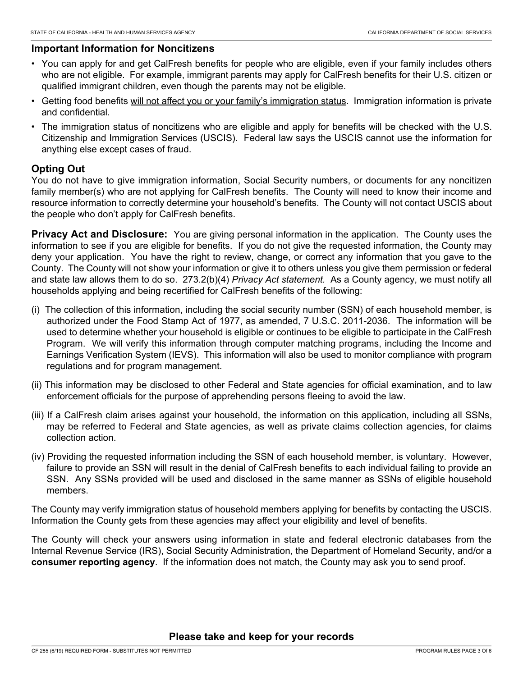# **Important Information for Noncitizens**

- You can apply for and get CalFresh benefits for people who are eligible, even if your family includes others who are not eligible. For example, immigrant parents may apply for CalFresh benefits for their U.S. citizen or qualified immigrant children, even though the parents may not be eligible.
- Getting food benefits will not affect you or your family's immigration status. Immigration information is private and confidential.
- The immigration status of noncitizens who are eligible and apply for benefits will be checked with the U.S. Citizenship and Immigration Services (USCIS). Federal law says the USCIS cannot use the information for anything else except cases of fraud.

# **Opting Out**

You do not have to give immigration information, Social Security numbers, or documents for any noncitizen family member(s) who are not applying for CalFresh benefits. The County will need to know their income and resource information to correctly determine your household's benefits. The County will not contact USCIS about the people who don't apply for CalFresh benefits.

**Privacy Act and Disclosure:** You are giving personal information in the application. The County uses the information to see if you are eligible for benefits. If you do not give the requested information, the County may deny your application. You have the right to review, change, or correct any information that you gave to the County. The County will not show your information or give it to others unless you give them permission or federal and state law allows them to do so. 273.2(b)(4) *Privacy Act statement.* As a County agency, we must notify all households applying and being recertified for CalFresh benefits of the following:

- (i) The collection of this information, including the social security number (SSN) of each household member, is authorized under the Food Stamp Act of 1977, as amended, 7 U.S.C. 2011-2036. The information will be used to determine whether your household is eligible or continues to be eligible to participate in the CalFresh Program. We will verify this information through computer matching programs, including the Income and Earnings Verification System (IEVS). This information will also be used to monitor compliance with program regulations and for program management.
- (ii) This information may be disclosed to other Federal and State agencies for official examination, and to law enforcement officials for the purpose of apprehending persons fleeing to avoid the law.
- (iii) If a CalFresh claim arises against your household, the information on this application, including all SSNs, may be referred to Federal and State agencies, as well as private claims collection agencies, for claims collection action.
- (iv) Providing the requested information including the SSN of each household member, is voluntary. However, failure to provide an SSN will result in the denial of CalFresh benefits to each individual failing to provide an SSN. Any SSNs provided will be used and disclosed in the same manner as SSNs of eligible household members.

The County may verify immigration status of household members applying for benefits by contacting the USCIS. Information the County gets from these agencies may affect your eligibility and level of benefits.

The County will check your answers using information in state and federal electronic databases from the Internal Revenue Service (IRS), Social Security Administration, the Department of Homeland Security, and/or a **consumer reporting agency**. If the information does not match, the County may ask you to send proof.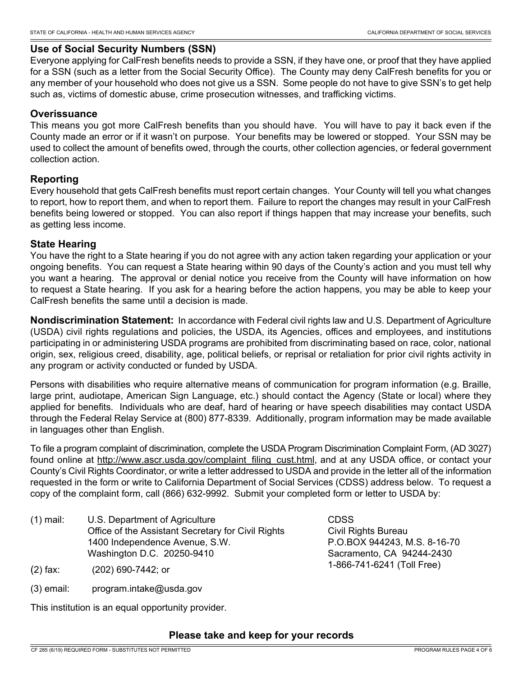# **Use of Social Security Numbers (SSN)**

Everyone applying for CalFresh benefits needs to provide a SSN, if they have one, or proof that they have applied for a SSN (such as a letter from the Social Security Office). The County may deny CalFresh benefits for you or any member of your household who does not give us a SSN. Some people do not have to give SSN's to get help such as, victims of domestic abuse, crime prosecution witnesses, and trafficking victims.

### **Overissuance**

This means you got more CalFresh benefits than you should have. You will have to pay it back even if the County made an error or if it wasn't on purpose. Your benefits may be lowered or stopped. Your SSN may be used to collect the amount of benefits owed, through the courts, other collection agencies, or federal government collection action.

# **Reporting**

Every household that gets CalFresh benefits must report certain changes. Your County will tell you what changes to report, how to report them, and when to report them. Failure to report the changes may result in your CalFresh benefits being lowered or stopped. You can also report if things happen that may increase your benefits, such as getting less income.

# **State Hearing**

You have the right to a State hearing if you do not agree with any action taken regarding your application or your ongoing benefits. You can request a State hearing within 90 days of the County's action and you must tell why you want a hearing. The approval or denial notice you receive from the County will have information on how to request a State hearing. If you ask for a hearing before the action happens, you may be able to keep your CalFresh benefits the same until a decision is made.

**Nondiscrimination Statement:** In accordance with Federal civil rights law and U.S. Department of Agriculture (USDA) civil rights regulations and policies, the USDA, its Agencies, offices and employees, and institutions participating in or administering USDA programs are prohibited from discriminating based on race, color, national origin, sex, religious creed, disability, age, political beliefs, or reprisal or retaliation for prior civil rights activity in any program or activity conducted or funded by USDA.

Persons with disabilities who require alternative means of communication for program information (e.g. Braille, large print, audiotape, American Sign Language, etc.) should contact the Agency (State or local) where they applied for benefits. Individuals who are deaf, hard of hearing or have speech disabilities may contact USDA through the Federal Relay Service at (800) 877-8339. Additionally, program information may be made available in languages other than English.

To file a program complaint of discrimination, complete the USDA Program Discrimination Complaint Form, (AD 3027) found online at http://www.ascr.usda.gov/complaint\_filing\_cust.html, and at any USDA office, or contact your County's Civil Rights Coordinator, or write a letter addressed to USDA and provide in the letter all of the information requested in the form or write to California Department of Social Services (CDSS) address below. To request a copy of the complaint form, call (866) 632-9992. Submit your completed form or letter to USDA by:

CDSS

Civil Rights Bureau

P.O.BOX 944243, M.S. 8-16-70 Sacramento, CA 94244-2430 1-866-741-6241 (Toll Free)

U.S. Department of Agriculture Office of the Assistant Secretary for Civil Rights 1400 Independence Avenue, S.W. Washington D.C. 20250-9410 (1) mail:

(2) fax: (202) 690-7442; or

(3) email: program.intake@usda.gov

This institution is an equal opportunity provider.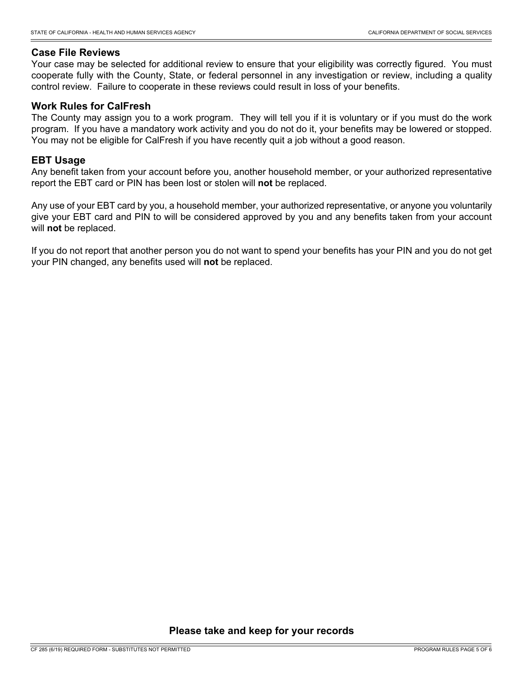### **Case File Reviews**

Your case may be selected for additional review to ensure that your eligibility was correctly figured. You must cooperate fully with the County, State, or federal personnel in any investigation or review, including a quality control review. Failure to cooperate in these reviews could result in loss of your benefits.

### **Work Rules for CalFresh**

The County may assign you to a work program. They will tell you if it is voluntary or if you must do the work program. If you have a mandatory work activity and you do not do it, your benefits may be lowered or stopped. You may not be eligible for CalFresh if you have recently quit a job without a good reason.

### **EBT Usage**

Any benefit taken from your account before you, another household member, or your authorized representative report the EBT card or PIN has been lost or stolen will **not** be replaced.

Any use of your EBT card by you, a household member, your authorized representative, or anyone you voluntarily give your EBT card and PIN to will be considered approved by you and any benefits taken from your account will **not** be replaced.

If you do not report that another person you do not want to spend your benefits has your PIN and you do not get your PIN changed, any benefits used will **not** be replaced.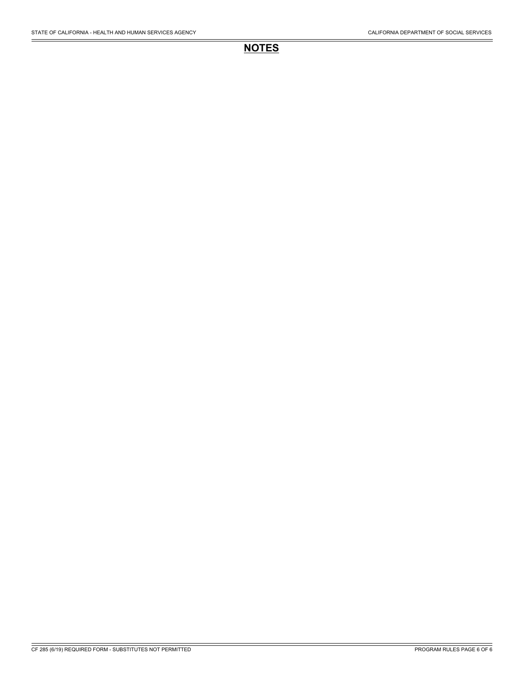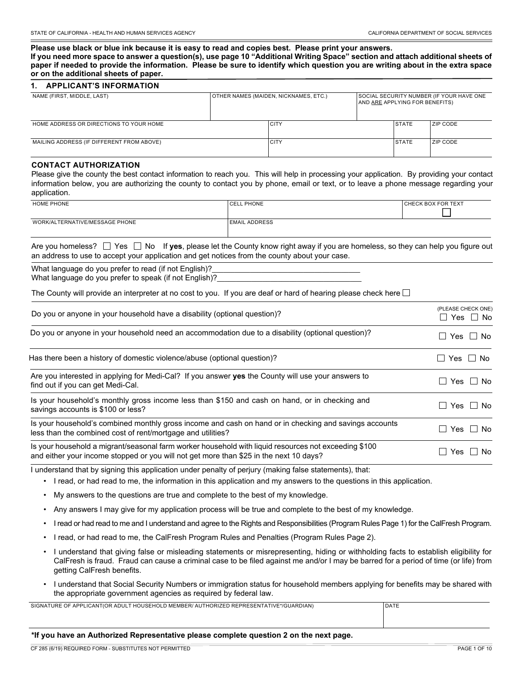**Please use black or blue ink because it is easy to read and copies best. Please print your answers. If you need more space to answer a question(s), use page 10 "Additional Writing Space" section and attach additional sheets of paper if needed to provide the information. Please be sure to identify which question you are writing about in the extra space or on the additional sheets of paper.**

#### **1. APPLICANT'S INFORMATION**

| NAME (FIRST, MIDDLE, LAST)                | OTHER NAMES (MAIDEN, NICKNAMES, ETC.) |             | SOCIAL SECURITY NUMBER (IF YOUR HAVE ONE<br>AND ARE APPLYING FOR BENEFITS) |              |                 |
|-------------------------------------------|---------------------------------------|-------------|----------------------------------------------------------------------------|--------------|-----------------|
| HOME ADDRESS OR DIRECTIONS TO YOUR HOME   |                                       | CITY        |                                                                            | <b>STATE</b> | <b>ZIP CODE</b> |
| MAILING ADDRESS (IF DIFFERENT FROM ABOVE) |                                       | <b>CITY</b> |                                                                            | <b>STATE</b> | <b>ZIP CODE</b> |

#### **CONTACT AUTHORIZATION**

Please give the county the best contact information to reach you. This will help in processing your application. By providing your contact information below, you are authorizing the county to contact you by phone, email or text, or to leave a phone message regarding your application.

| <b>HOME PHONE</b>              | CELL PHONE           | CHECK BOX FOR TEXT |
|--------------------------------|----------------------|--------------------|
|                                |                      |                    |
| WORK/ALTERNATIVE/MESSAGE PHONE | <b>EMAIL ADDRESS</b> |                    |
|                                |                      |                    |

Are you homeless?  $\Box$  Yes  $\Box$  No If **yes**, please let the County know right away if you are homeless, so they can help you figure out an address to use to accept your application and get notices from the county about your case.

What language do you prefer to read (if not English)? What language do you prefer to speak (if not English)?

The County will provide an interpreter at no cost to you. If you are deaf or hard of hearing please check here  $\square$ 

| Do you or anyone in your household have a disability (optional question)?                                                                                                                      | (PLEASE CHECK ONE)<br>□ Yes □ No |
|------------------------------------------------------------------------------------------------------------------------------------------------------------------------------------------------|----------------------------------|
| Do you or anyone in your household need an accommodation due to a disability (optional question)?                                                                                              | Yes $\Box$ No<br>$\blacksquare$  |
| Has there been a history of domestic violence/abuse (optional question)?                                                                                                                       | Yes $\Box$<br>No.                |
| Are you interested in applying for Medi-Cal? If you answer yes the County will use your answers to<br>find out if you can get Medi-Cal.                                                        | Yes $\Box$ No<br>$\mathcal{L}$   |
| Is your household's monthly gross income less than \$150 and cash on hand, or in checking and<br>savings accounts is \$100 or less?                                                            | Yes     No<br>$\blacksquare$     |
| Is your household's combined monthly gross income and cash on hand or in checking and savings accounts<br>less than the combined cost of rent/mortgage and utilities?                          | Yes $\Box$ No<br>$\blacksquare$  |
| Is your household a migrant/seasonal farm worker household with liquid resources not exceeding \$100<br>and either your income stopped or you will not get more than \$25 in the next 10 days? | No.<br>Yes                       |

I understand that by signing this application under penalty of perjury (making false statements), that:

- I read, or had read to me, the information in this application and my answers to the questions in this application.
- My answers to the questions are true and complete to the best of my knowledge.
- Any answers I may give for my application process will be true and complete to the best of my knowledge.
- I read or had read to me and I understand and agree to the Rights and Responsibilities (Program Rules Page 1) for the CalFresh Program.
- I read, or had read to me, the CalFresh Program Rules and Penalties (Program Rules Page 2).
- I understand that giving false or misleading statements or misrepresenting, hiding or withholding facts to establish eligibility for CalFresh is fraud. Fraud can cause a criminal case to be filed against me and/or I may be barred for a period of time (or life) from getting CalFresh benefits.
- I understand that Social Security Numbers or immigration status for household members applying for benefits may be shared with the appropriate government agencies as required by federal law.

SIGNATURE OF APPLICANT(OR ADULT HOUSEHOLD MEMBER/ AUTHORIZED REPRESENTATIVE\*/GUARDIAN) DATE

#### **\*If you have an Authorized Representative please complete question 2 on the next page.**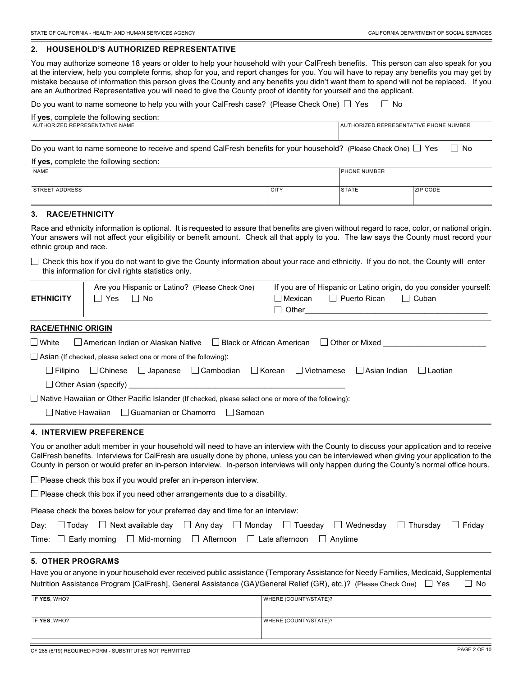#### **2. HOUSEHOLD'S AUTHORIZED REPRESENTATIVE**

You may authorize someone 18 years or older to help your household with your CalFresh benefits. This person can also speak for you at the interview, help you complete forms, shop for you, and report changes for you. You will have to repay any benefits you may get by mistake because of information this person gives the County and any benefits you didn't want them to spend will not be replaced. If you are an Authorized Representative you will need to give the County proof of identity for yourself and the applicant.

| Do you want to name someone to help you with your CalFresh case? (Please Check One) $\Box$ Yes                                                 |             | — ∟ म        | No                                     |
|------------------------------------------------------------------------------------------------------------------------------------------------|-------------|--------------|----------------------------------------|
| If yes, complete the following section:                                                                                                        |             |              |                                        |
| AUTHORIZED REPRESENTATIVE NAME                                                                                                                 |             |              | AUTHORIZED REPRESENTATIVE PHONE NUMBER |
| Do you want to name someone to receive and spend CalFresh benefits for your household? (Please Check One) $\Box$ Yes                           |             |              | l I No                                 |
| If yes, complete the following section:                                                                                                        |             |              |                                        |
| <b>NAME</b>                                                                                                                                    |             | PHONE NUMBER |                                        |
| <b>STREET ADDRESS</b>                                                                                                                          | <b>CITY</b> | <b>STATE</b> | ZIP CODE                               |
| 3. RACE/ETHNICITY                                                                                                                              |             |              |                                        |
| Race and ethnicity information is optional It is requested to assure that benefits are given without regard to race, color, or national origin |             |              |                                        |

Race and ethnicity information is optional. It is requested to assure that benefits are given without regard to race, color, or national origin. Your answers will not affect your eligibility or benefit amount. Check all that apply to you. The law says the County must record your ethnic group and race.

 $\Box$  Check this box if you do not want to give the County information about your race and ethnicity. If you do not, the County will enter this information for civil rights statistics only.

|                  | Are you Hispanic or Latino? (Please Check One) | If you are of Hispanic or Latino origin, do you consider yourself: |  |  |  |
|------------------|------------------------------------------------|--------------------------------------------------------------------|--|--|--|
| <b>ETHNICITY</b> | Yes<br>⊥ No                                    | ■ Mexican ■ Puerto Rican ■ Cuban                                   |  |  |  |
|                  |                                                | $\Box$ Other                                                       |  |  |  |

#### **RACE/ETHNIC ORIGIN**

| $\Box$ White |                                                                                                                     |  |  | $\Box$ American Indian or Alaskan Native $\Box$ Black or African American $\Box$ Other or Mixed |           |  |
|--------------|---------------------------------------------------------------------------------------------------------------------|--|--|-------------------------------------------------------------------------------------------------|-----------|--|
|              | $\Box$ Asian (If checked, please select one or more of the following):                                              |  |  |                                                                                                 |           |  |
|              | $\Box$ Filipino $\Box$ Chinese $\Box$ Japanese $\Box$ Cambodian $\Box$ Korean $\Box$ Vietnamese $\Box$ Asian Indian |  |  |                                                                                                 | I Laotian |  |
|              |                                                                                                                     |  |  |                                                                                                 |           |  |
|              | $\Box$ Native Hawaiian or Other Pacific Islander (If checked, please select one or more of the following):          |  |  |                                                                                                 |           |  |
|              | □ Native Hawaiian □ Guamanian or Chamorro □ Samoan                                                                  |  |  |                                                                                                 |           |  |

#### **4. INTERVIEW PREFERENCE**

You or another adult member in your household will need to have an interview with the County to discuss your application and to receive CalFresh benefits. Interviews for CalFresh are usually done by phone, unless you can be interviewed when giving your application to the County in person or would prefer an in-person interview. In-person interviews will only happen during the County's normal office hours.

 $\Box$  Please check this box if you would prefer an in-person interview.

 $\Box$  Please check this box if you need other arrangements due to a disability.

Please check the boxes below for your preferred day and time for an interview:

|  | Day: $\Box$ Today $\Box$ Next available day $\Box$ Any day $\Box$ Monday $\Box$ Tuesday $\Box$ Wednesday $\Box$ Thursday $\Box$ Friday |  |  |  |
|--|----------------------------------------------------------------------------------------------------------------------------------------|--|--|--|
|  | Time: $\Box$ Early morning $\Box$ Mid-morning $\Box$ Afternoon $\Box$ Late afternoon $\Box$ Anytime                                    |  |  |  |

#### **5. OTHER PROGRAMS**

Have you or anyone in your household ever received public assistance (Temporary Assistance for Needy Families, Medicaid, Supplemental Nutrition Assistance Program [CalFresh], General Assistance (GA)/General Relief (GR), etc.)? (Please Check One)  $\Box$  Yes  $\Box$  No

| IF YES, WHO? | WHERE (COUNTY/STATE)? |
|--------------|-----------------------|
|              |                       |
| IF YES, WHO? | WHERE (COUNTY/STATE)? |
|              |                       |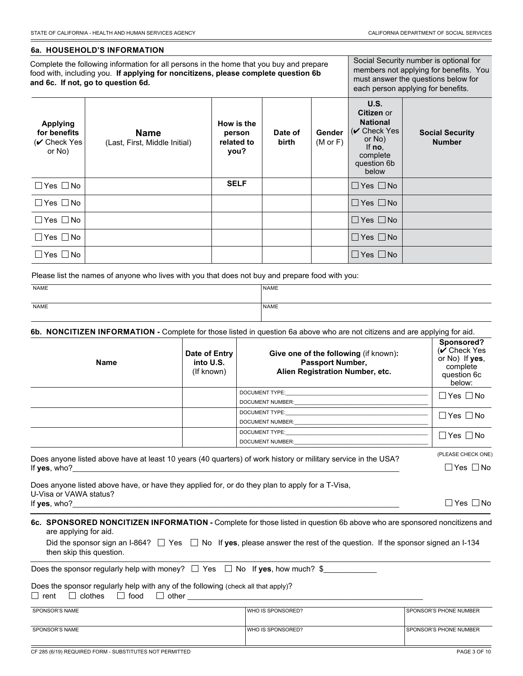#### **6a. HOUSEHOLD'S INFORMATION**

Complete the following information for all persons in the home that you buy and prepare food with, including you. **If applying for noncitizens, please complete question 6b and 6c. If not, go to question 6d.**

Social Security number is optional for members not applying for benefits. You must answer the questions below for each person applying for benefits.

| <b>Applying</b><br>for benefits<br>$(V$ Check Yes<br>or No) | <b>Name</b><br>(Last, First, Middle Initial) | How is the<br>person<br>related to<br>you? | Date of<br>birth | <b>Gender</b><br>$(M \text{ or } F)$ | U.S.<br>Citizen or<br><b>National</b><br>$(V$ Check Yes<br>or No)<br>If $no$ .<br>complete<br>question 6b<br>below | <b>Social Security</b><br><b>Number</b> |
|-------------------------------------------------------------|----------------------------------------------|--------------------------------------------|------------------|--------------------------------------|--------------------------------------------------------------------------------------------------------------------|-----------------------------------------|
| $\Box$ Yes $\Box$ No                                        |                                              | <b>SELF</b>                                |                  |                                      | $\Box$ Yes $\Box$ No                                                                                               |                                         |
| $\Box$ Yes $\Box$ No                                        |                                              |                                            |                  |                                      | $\square$ Yes $\square$ No                                                                                         |                                         |
| $\Box$ Yes $\Box$ No                                        |                                              |                                            |                  |                                      | $\Box$ Yes $\Box$ No                                                                                               |                                         |
| $\Box$ Yes $\Box$ No                                        |                                              |                                            |                  |                                      | $\Box$ Yes $\Box$ No                                                                                               |                                         |
| $\Box$ Yes $\Box$ No                                        |                                              |                                            |                  |                                      | $\Box$ Yes $\Box$ No                                                                                               |                                         |

Please list the names of anyone who lives with you that does not buy and prepare food with you:

| NAME | <b>NAME</b> |
|------|-------------|
|      |             |
| NAME | NAME        |
|      |             |

**6b. NONCITIZEN INFORMATION -** Complete for those listed in question 6a above who are not citizens and are applying for aid.

| <b>Name</b> | Date of Entry<br>into U.S.<br>(If known) | Give one of the following (if known):<br><b>Passport Number,</b><br>Alien Registration Number, etc.                                                                                                                                                              | Sponsored?<br>$(V$ Check Yes<br>or No) If yes,<br>complete<br>question 6c<br>below: |
|-------------|------------------------------------------|------------------------------------------------------------------------------------------------------------------------------------------------------------------------------------------------------------------------------------------------------------------|-------------------------------------------------------------------------------------|
|             |                                          | DOCUMENT TYPE:                                                                                                                                                                                                                                                   | $\Box$ Yes $\Box$ No                                                                |
|             |                                          | DOCUMENT NUMBER:                                                                                                                                                                                                                                                 |                                                                                     |
|             |                                          | DOCUMENT TYPE:                                                                                                                                                                                                                                                   | $\Box$ Yes $\Box$ No                                                                |
|             |                                          | <b>DOCUMENT NUMBER:</b>                                                                                                                                                                                                                                          |                                                                                     |
|             |                                          | DOCUMENT TYPE: THE STATE OF THE STATE OF THE STATE OF THE STATE OF THE STATE OF THE STATE OF THE STATE OF THE STATE OF THE STATE OF THE STATE OF THE STATE OF THE STATE OF THE STATE OF THE STATE OF THE STATE OF THE STATE OF                                   | $\Box$ Yes $\Box$ No                                                                |
|             |                                          | DOCUMENT NUMBER: WELL ARE A STRAINING AND THE STRAINING STRAIN STRAIN STRAIN STRAIN STRAIN STRAIN STRAIN STRAIN                                                                                                                                                  |                                                                                     |
|             |                                          | $\mathbf{r}$ , and the state of the state of the state of the state of the state of the state of the state of the state of the state of the state of the state of the state of the state of the state of the state of the state o<br>$\sim$ $\sim$ $\sim$ $\sim$ | (PLEASE CHECK ONE)                                                                  |

Does anyone listed above have at least 10 years (40 quarters) of work history or military service in the USA? If **yes**, who?\_\_\_\_\_\_\_\_\_\_\_\_\_\_\_\_\_\_\_\_\_\_\_\_\_\_\_\_\_\_\_\_\_\_\_\_\_\_\_\_\_\_\_\_\_\_\_\_\_\_\_\_\_\_\_\_\_\_\_\_\_\_\_\_\_\_\_\_\_\_\_\_\_\_\_\_\_\_\_\_\_\_\_\_\_\_

Does anyone listed above have, or have they applied for, or do they plan to apply for a T-Visa, U-Visa or VAWA status? If yes, who?

| e. |  | N٥ |
|----|--|----|
|----|--|----|

 $\Box$  Yes  $\Box$  No

**6c. SPONSORED NONCITIZEN INFORMATION -** Complete for those listed in question 6b above who are sponsored noncitizens and are applying for aid.

|                          |  | Did the sponsor sign an I-864? $\Box$ Yes $\Box$ No If yes, please answer the rest of the question. If the sponsor signed an I-134 |  |
|--------------------------|--|------------------------------------------------------------------------------------------------------------------------------------|--|
| then skip this question. |  |                                                                                                                                    |  |

Does the sponsor regularly help with money?  $\Box$  Yes  $\Box$  No If **yes**, how much? \$

#### Does the sponsor regularly help with any of the following (check all that apply)?

 $\Box$  rent  $\Box$  clothes  $\Box$  food  $\Box$  other

| <b>SPONSOR'S NAME</b> | WHO IS SPONSORED? | <b>SPONSOR'S PHONE NUMBER</b> |
|-----------------------|-------------------|-------------------------------|
| <b>SPONSOR'S NAME</b> | WHO IS SPONSORED? | <b>SPONSOR'S PHONE NUMBER</b> |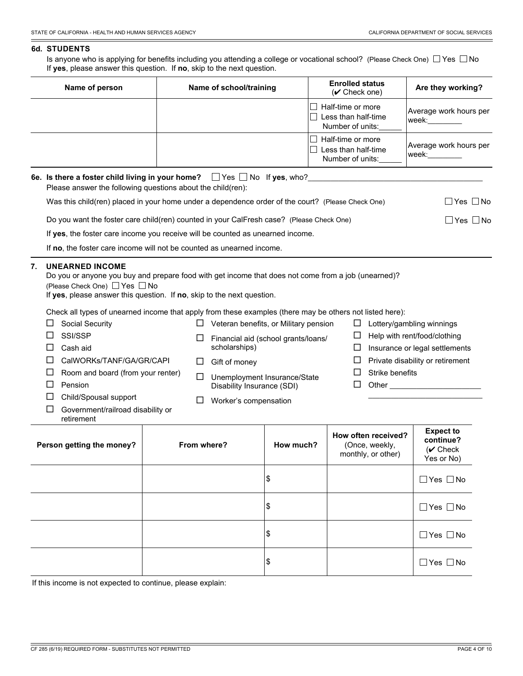$\Box$  Strike benefits  $\Box$  Other

\_\_\_\_\_\_\_\_\_\_\_\_\_\_\_\_\_\_\_\_\_\_\_\_\_\_\_\_\_\_

#### **6d. STUDENTS**

Is anyone who is applying for benefits including you attending a college or vocational school? (Please Check One)  $\Box$  Yes  $\Box$  No If **yes**, please answer this question. If **no**, skip to the next question.

| Name of person | Name of school/training | <b>Enrolled status</b><br>$(\vee$ Check one)                 | Are they working?               |
|----------------|-------------------------|--------------------------------------------------------------|---------------------------------|
|                |                         | Half-time or more<br>Less than half-time<br>Number of units: | Average work hours per<br>week: |
|                |                         | Half-time or more<br>Less than half-time<br>Number of units: | Average work hours per<br>week: |

| 6e. Is there a foster child living in your home? $\Box$ Yes $\Box$ No If yes, who?<br>Please answer the following questions about the child(ren): |            |
|---------------------------------------------------------------------------------------------------------------------------------------------------|------------|
| Was this child(ren) placed in your home under a dependence order of the court? (Please Check One)                                                 | Yes     No |
| Do you want the foster care child(ren) counted in your CalFresh case? (Please Check One)                                                          | Yes    No  |
| If yes, the foster care income you receive will be counted as unearned income.                                                                    |            |

If **no**, the foster care income will not be counted as unearned income.

#### **7. UNEARNED INCOME**

Do you or anyone you buy and prepare food with get income that does not come from a job (unearned)? (Please Check One)  $\Box$  Yes  $\Box$  No

If **yes**, please answer this question. If **no**, skip to the next question.

Check all types of unearned income that apply from these examples (there may be others not listed here):

| $\Box$ Social Security     |        | Veteran benefits, or Military pension | $\Box$ Lottery/gambling winnings        |
|----------------------------|--------|---------------------------------------|-----------------------------------------|
| $\Box$ SSI/SSP             | $\Box$ | Financial aid (school grants/loans/   | $\Box$ Help with rent/food/clothing     |
| $\Box$ Cash aid            |        | scholarships)                         | Insurance or legal settlements          |
| □ CalWORKs/TANF/GA/GR/CAPI |        | Gift of money                         | $\Box$ Private disability or retirement |

| $\Box$ Room and board (from your renter) | $\Box$ Unemployment Insurance/State |
|------------------------------------------|-------------------------------------|
|------------------------------------------|-------------------------------------|

 $\square$  Pension

Child/Spousal support

retirement

□ Government/railroad disability or

| Person getting the money? | From where? | How much? | How often received?<br>(Once, weekly,<br>monthly, or other) | <b>Expect to</b><br>continue?<br>$({\mathbf v}$ Check<br>Yes or No) |
|---------------------------|-------------|-----------|-------------------------------------------------------------|---------------------------------------------------------------------|
|                           |             | \$        |                                                             | $\Box$ Yes $\Box$ No                                                |
|                           |             | \$        |                                                             | $\Box$ Yes $\Box$ No                                                |
|                           |             | \$        |                                                             | $\Box$ Yes $\Box$ No                                                |
|                           |             | \$        |                                                             | $\Box$ Yes $\Box$ No                                                |

Disability Insurance (SDI)

□ Worker's compensation

If this income is not expected to continue, please explain: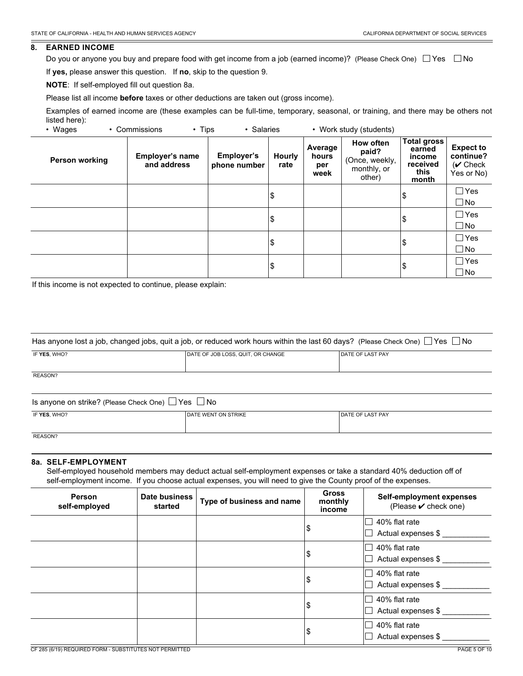#### **8. EARNED INCOME**

Do you or anyone you buy and prepare food with get income from a job (earned income)? (Please Check One)  $\Box$  Yes  $\Box$  No

If **yes,** please answer this question. If **no**, skip to the question 9.

**NOTE**: If self-employed fill out question 8a.

Please list all income **before** taxes or other deductions are taken out (gross income).

Examples of earned income are (these examples can be full-time, temporary, seasonal, or training, and there may be others not listed here):<br>• Wages • Commissions • Tips • Salaries • Work study (students)

| wayco          | <b>UUITIIIIIII</b><br>סעוו ־          | <b>JalaHco</b>                    |                       |                                 | <b><i>IVUIK SLUUY (SLUUGIILS)</i></b>                         |                                                              |                                                           |
|----------------|---------------------------------------|-----------------------------------|-----------------------|---------------------------------|---------------------------------------------------------------|--------------------------------------------------------------|-----------------------------------------------------------|
| Person working | <b>Employer's name</b><br>and address | <b>Employer's</b><br>phone number | <b>Hourly</b><br>rate | Average<br>hours<br>per<br>week | How often<br>paid?<br>(Once, weekly,<br>monthly, or<br>other) | Total gross<br>earned<br>income<br>received<br>this<br>month | <b>Expect to</b><br>continue?<br>$(V$ Check<br>Yes or No) |
|                |                                       |                                   | \$                    |                                 |                                                               | \$                                                           | $\Box$ Yes                                                |
|                |                                       |                                   |                       |                                 |                                                               |                                                              | $\Box$ No                                                 |
|                |                                       |                                   | \$                    |                                 |                                                               | \$                                                           | $\Box$ Yes                                                |
|                |                                       |                                   |                       |                                 |                                                               |                                                              | $\Box$ No                                                 |
|                |                                       |                                   | \$                    |                                 |                                                               | \$                                                           | $\Box$ Yes                                                |
|                |                                       |                                   |                       |                                 |                                                               |                                                              | $\Box$ No                                                 |
|                |                                       |                                   |                       |                                 |                                                               |                                                              | $\Box$ Yes                                                |
|                |                                       |                                   | \$                    |                                 |                                                               | Ι\$                                                          | $\Box$ No                                                 |

If this income is not expected to continue, please explain:

| Has anyone lost a job, changed jobs, quit a job, or reduced work hours within the last 60 days? (Please Check One) $\Box$ Yes $\Box$ No |                                   |                         |  |  |  |  |
|-----------------------------------------------------------------------------------------------------------------------------------------|-----------------------------------|-------------------------|--|--|--|--|
| IF YES, WHO?                                                                                                                            | DATE OF JOB LOSS, QUIT, OR CHANGE | <b>DATE OF LAST PAY</b> |  |  |  |  |
| REASON?                                                                                                                                 |                                   |                         |  |  |  |  |

| Is anyone on strike? (Please Check One) $\Box$ Yes $\Box$ .<br>No. |                              |                         |  |  |  |  |
|--------------------------------------------------------------------|------------------------------|-------------------------|--|--|--|--|
| IF YES, WHO?                                                       | <b>I DATE WENT ON STRIKE</b> | <b>DATE OF LAST PAY</b> |  |  |  |  |
| RFASON?                                                            |                              |                         |  |  |  |  |

#### **8a. SELF-EMPLOYMENT**

Self-employed household members may deduct actual self-employment expenses or take a standard 40% deduction off of self-employment income. If you choose actual expenses, you will need to give the County proof of the expenses.

| <b>Person</b><br>self-employed | Date business<br>started | Type of business and name | <b>Gross</b><br>monthly<br>income | Self-employment expenses<br>(Please ✔ check one) |
|--------------------------------|--------------------------|---------------------------|-----------------------------------|--------------------------------------------------|
|                                |                          |                           |                                   | 40% flat rate                                    |
|                                |                          |                           | \$                                | Actual expenses \$                               |
|                                |                          |                           |                                   | 40% flat rate                                    |
|                                |                          |                           | \$                                | Actual expenses \$                               |
|                                |                          |                           |                                   | 40% flat rate                                    |
|                                |                          |                           | \$                                | Actual expenses \$                               |
|                                |                          |                           |                                   | 40% flat rate                                    |
|                                |                          |                           | \$                                | Actual expenses \$                               |
|                                |                          |                           |                                   | 40% flat rate                                    |
|                                |                          |                           | \$                                | Actual expenses \$                               |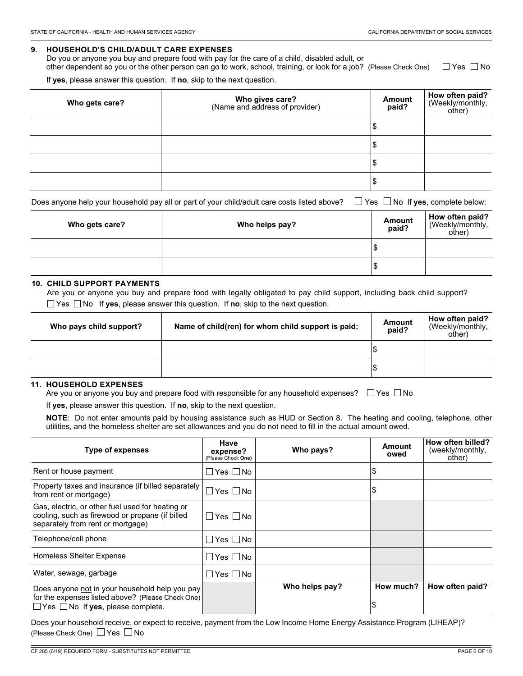#### **9. HOUSEHOLD'S CHILD/ADULT CARE EXPENSES**

Do you or anyone you buy and prepare food with pay for the care of a child, disabled adult, or other dependent so you or the other person can go to work, school, training, or look for a job? (Please Check One)  $\Box$  Yes  $\Box$  No

If **yes**, please answer this question. If **no**, skip to the next question.

| Who gets care? | <b>Who gives care?</b><br>(Name and address of provider) | Amount<br>paid? | How often paid?<br>(Weekly/monthly,<br>other) |
|----------------|----------------------------------------------------------|-----------------|-----------------------------------------------|
|                |                                                          | Ψ               |                                               |
|                |                                                          | Ψ               |                                               |
|                |                                                          | Ψ               |                                               |
|                |                                                          | Ψ               |                                               |

| Does anyone help your household pay all or part of your child/adult care costs listed above? $\Box$ Yes $\Box$ No If yes, complete below: |  |
|-------------------------------------------------------------------------------------------------------------------------------------------|--|
|-------------------------------------------------------------------------------------------------------------------------------------------|--|

| Who gets care? | Who helps pay? | Amount<br>paid? | How often paid?<br>(Weekly/monthly,<br>other) |
|----------------|----------------|-----------------|-----------------------------------------------|
|                |                | ນ               |                                               |
|                |                | Φ               |                                               |

#### **10. CHILD SUPPORT PAYMENTS**

Are you or anyone you buy and prepare food with legally obligated to pay child support, including back child support?  $\Box$  Yes  $\Box$  No If **yes**, please answer this question. If **no**, skip to the next question.

| Who pays child support? | Name of child(ren) for whom child support is paid: | <b>Amount</b><br>paid? | How often paid?<br>(Weekly/monthly,<br>other) |
|-------------------------|----------------------------------------------------|------------------------|-----------------------------------------------|
|                         |                                                    |                        |                                               |
|                         |                                                    | จ                      |                                               |

#### **11. HOUSEHOLD EXPENSES**

Are you or anyone you buy and prepare food with responsible for any household expenses?  $\Box$  Yes  $\Box$  No

If **yes**, please answer this question. If **no**, skip to the next question.

**NOTE**: Do not enter amounts paid by housing assistance such as HUD or Section 8. The heating and cooling, telephone, other utilities, and the homeless shelter are set allowances and you do not need to fill in the actual amount owed.

| <b>Type of expenses</b>                                                                                                                              | Have<br>expense?<br>(Please Check One) | Who pays?      | Amount<br>owed  | How often billed?<br>(weekly/monthly,<br>other) |
|------------------------------------------------------------------------------------------------------------------------------------------------------|----------------------------------------|----------------|-----------------|-------------------------------------------------|
| Rent or house payment                                                                                                                                | ∃Yes □No                               |                | \$              |                                                 |
| Property taxes and insurance (if billed separately<br>from rent or mortgage)                                                                         | $Yes \Box No$                          |                | \$              |                                                 |
| Gas, electric, or other fuel used for heating or<br>cooling, such as firewood or propane (if billed<br>separately from rent or mortgage)             | ∣Yes∣ No                               |                |                 |                                                 |
| Telephone/cell phone                                                                                                                                 | ∏Yes ∏ No                              |                |                 |                                                 |
| Homeless Shelter Expense                                                                                                                             | Yes   No                               |                |                 |                                                 |
| Water, sewage, garbage                                                                                                                               | Yes I No                               |                |                 |                                                 |
| Does anyone not in your household help you pay<br>for the expenses listed above? (Please Check One)<br>$\Box$ Yes $\Box$ No If yes, please complete. |                                        | Who helps pay? | How much?<br>\$ | How often paid?                                 |

Does your household receive, or expect to receive, payment from the Low Income Home Energy Assistance Program (LIHEAP)? (Please Check One)  $\Box$  Yes  $\Box$  No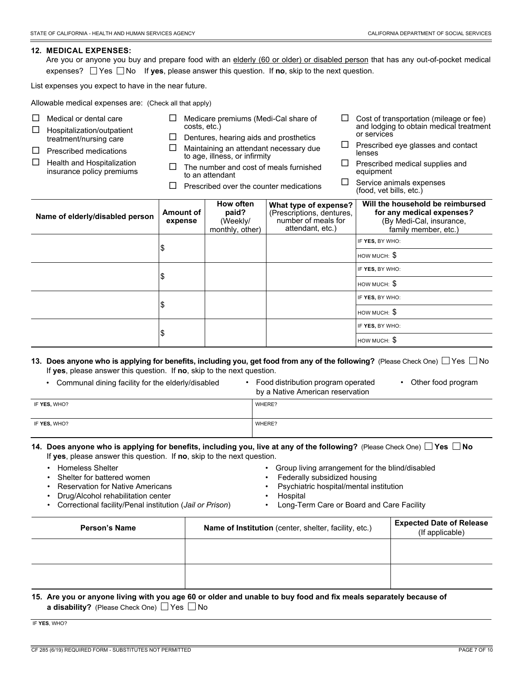#### **12. MEDICAL EXPENSES:**

Are you or anyone you buy and prepare food with an elderly (60 or older) or disabled person that has any out-of-pocket medical expenses?  $\Box$  Yes  $\Box$  No If **yes**, please answer this question. If **no**, skip to the next question.

List expenses you expect to have in the near future.

Allowable medical expenses are: (Check all that apply)

| □<br>Medical or dental care<br>□<br>Hospitalization/outpatient<br>treatment/nursing care<br>□<br>Prescribed medications<br>$\Box$<br>Health and Hospitalization<br>insurance policy premiums | costs, etc.)         | Medicare premiums (Medi-Cal share of<br>Dentures, hearing aids and prosthetics<br>Maintaining an attendant necessary due<br>to age, illness, or infirmity<br>The number and cost of meals furnished<br>to an attendant<br>Prescribed over the counter medications |                                                                                               | ப<br>ப<br>□ | Cost of transportation (mileage or fee)<br>and lodging to obtain medical treatment<br>or services<br>Prescribed eye glasses and contact<br>lenses<br>Prescribed medical supplies and<br>equipment<br>Service animals expenses<br>(food, vet bills, etc.) |
|----------------------------------------------------------------------------------------------------------------------------------------------------------------------------------------------|----------------------|-------------------------------------------------------------------------------------------------------------------------------------------------------------------------------------------------------------------------------------------------------------------|-----------------------------------------------------------------------------------------------|-------------|----------------------------------------------------------------------------------------------------------------------------------------------------------------------------------------------------------------------------------------------------------|
| Name of elderly/disabled person                                                                                                                                                              | Amount of<br>expense | <b>How often</b><br>paid?<br>(Weekly/<br>monthly, other)                                                                                                                                                                                                          | What type of expense?<br>(Prescriptions, dentures,<br>number of meals for<br>attendant, etc.) |             | Will the household be reimbursed<br>for any medical expenses?<br>(By Medi-Cal, insurance,<br>family member, etc.)                                                                                                                                        |
|                                                                                                                                                                                              |                      |                                                                                                                                                                                                                                                                   |                                                                                               |             | IF YES, BY WHO:                                                                                                                                                                                                                                          |
| \$                                                                                                                                                                                           |                      |                                                                                                                                                                                                                                                                   |                                                                                               |             | $HOWMUCH:$ $\mathbb{S}$                                                                                                                                                                                                                                  |
|                                                                                                                                                                                              |                      |                                                                                                                                                                                                                                                                   |                                                                                               |             | IF YES, BY WHO:                                                                                                                                                                                                                                          |
|                                                                                                                                                                                              | \$                   |                                                                                                                                                                                                                                                                   |                                                                                               |             | HOW MUCH: $$$                                                                                                                                                                                                                                            |
|                                                                                                                                                                                              |                      |                                                                                                                                                                                                                                                                   |                                                                                               |             | IF YES, BY WHO:                                                                                                                                                                                                                                          |
|                                                                                                                                                                                              | \$                   |                                                                                                                                                                                                                                                                   |                                                                                               |             | $HOWMUCH:$ $\mathbb{S}$                                                                                                                                                                                                                                  |
|                                                                                                                                                                                              |                      |                                                                                                                                                                                                                                                                   |                                                                                               |             | IF YES, BY WHO:                                                                                                                                                                                                                                          |
|                                                                                                                                                                                              | \$                   |                                                                                                                                                                                                                                                                   |                                                                                               |             | HOW MUCH: $$$                                                                                                                                                                                                                                            |
| If you please apply this question. If no okin to the poyt question                                                                                                                           |                      |                                                                                                                                                                                                                                                                   |                                                                                               |             | 13. Does anyone who is applying for benefits, including you, get food from any of the following? (Please Check One) $\Box$ Yes $\Box$ No                                                                                                                 |

If **yes**, please answer this question. If **no**, skip to the next question.

| Communal dining facility for the elderly/disabled | Food distribution program operated | Other food program |
|---------------------------------------------------|------------------------------------|--------------------|
|---------------------------------------------------|------------------------------------|--------------------|

by a Native American reservation

| IF YES, WHO? | WHERE? |
|--------------|--------|
| IF YES, WHO? | WHERE? |

#### **14. Does anyone who is applying for benefits, including you, live at any of the following?** (Please Check One) **Yes No** If **yes**, please answer this question. If **no**, skip to the next question.

- Homeless Shelter
- Shelter for battered women
- Reservation for Native Americans
- Drug/Alcohol rehabilitation center
- Correctional facility/Penal institution (*Jail or Prison*)
- Group living arrangement for the blind/disabled
- Federally subsidized housing
- Psychiatric hospital/mental institution
- **Hospital**
- Long-Term Care or Board and Care Facility

| <b>Person's Name</b> | Name of Institution (center, shelter, facility, etc.) | <b>Expected Date of Release</b><br>(If applicable) |  |  |
|----------------------|-------------------------------------------------------|----------------------------------------------------|--|--|
|                      |                                                       |                                                    |  |  |
|                      |                                                       |                                                    |  |  |

#### **15. Are you or anyone living with you age 60 or older and unable to buy food and fix meals separately because of a disability?** (Please Check One)  $\Box$  Yes  $\Box$  No

IF **YES**, WHO?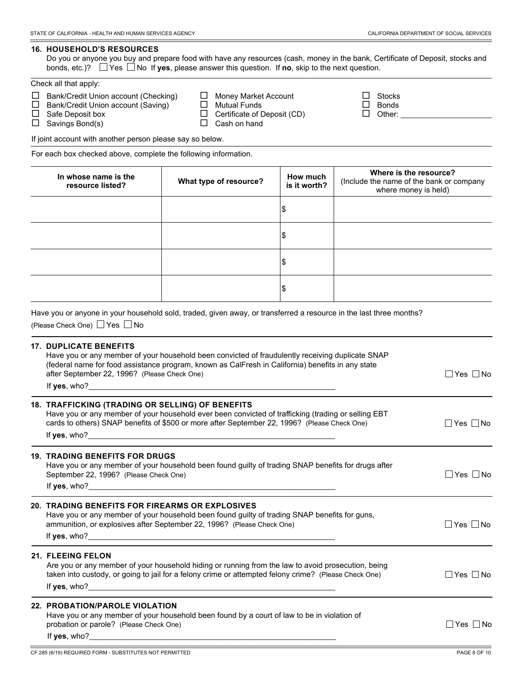#### **16. HOUSEHOLD'S RESOURCES**

Do you or anyone you buy and prepare food with have any resources (cash, money in the bank, Certificate of Deposit, stocks and bonds, etc.)?  $\Box$  Yes  $\Box$  No If **yes**, please answer this question. If **no**, skip to the next question.

|  | Check all that apply: |
|--|-----------------------|
|--|-----------------------|

| □ Bank/Credit Union account (Checking) | $\Box$ Money Market Account        | $\mathbf{1}$ | Stocks |
|----------------------------------------|------------------------------------|--------------|--------|
| □ Bank/Credit Union account (Saving)   | $\Box$ Mutual Funds                | $\Box$       | Bonds  |
| $\Box$ Safe Deposit box                | $\Box$ Certificate of Deposit (CD) | $\Box$       | Other: |
| $\Box$ Savings Bond(s)                 | $\Box$ Cash on hand                |              |        |

If joint account with another person please say so below.

For each box checked above, complete the following information.

| In whose name is the<br>resource listed? | What type of resource? | How much<br>is it worth? | Where is the resource?<br>(Include the name of the bank or company<br>where money is held) |
|------------------------------------------|------------------------|--------------------------|--------------------------------------------------------------------------------------------|
|                                          |                        | \$                       |                                                                                            |
|                                          |                        | \$                       |                                                                                            |
|                                          |                        | \$                       |                                                                                            |
|                                          |                        | \$                       |                                                                                            |

Have you or anyone in your household sold, traded, given away, or transferred a resource in the last three months? (Please Check One)  $\Box$  Yes  $\Box$  No

#### **17. DUPLICATE BENEFITS**

| Have you or any member of your household been convicted of fraudulently receiving duplicate SNAP  |                      |
|---------------------------------------------------------------------------------------------------|----------------------|
| (federal name for food assistance program, known as CalFresh in California) benefits in any state |                      |
| after September 22, 1996? (Please Check One)                                                      | $\Box$ Yes $\Box$ No |
| If <b>yes</b> , who?                                                                              |                      |

| <b>18. TRAFFICKING (TRADING OR SELLING) OF BENEFITS</b><br>Have you or any member of your household ever been convicted of trafficking (trading or selling EBT<br>cards to others) SNAP benefits of \$500 or more after September 22, 1996? (Please Check One)<br>If <b>yes</b> , who? | Yes    No |
|----------------------------------------------------------------------------------------------------------------------------------------------------------------------------------------------------------------------------------------------------------------------------------------|-----------|
| <b>19. TRADING BENEFITS FOR DRUGS</b><br>Have you or any member of your household been found guilty of trading SNAP benefits for drugs after<br>September 22, 1996? (Please Check One)<br>If yes, who?                                                                                 | ∣Yes ∣∣No |

#### **20. TRADING BENEFITS FOR FIREARMS OR EXPLOSIVES** Have you or any member of your household been found guilty of trading SNAP benefits for guns,

| ammunition, or explosives after September 22, 1996? (Please Check One) |  |  |  | $\neg$ Yes $\Box$<br>∣No |
|------------------------------------------------------------------------|--|--|--|--------------------------|
| If <b>yes</b> , who?                                                   |  |  |  |                          |

#### **21. FLEEING FELON**

Are you or any member of your household hiding or running from the law to avoid prosecution, being taken into custody, or going to jail for a felony crime or attempted felony crime? (Please Check One)  $\Box$  Yes  $\Box$  No If yes, who?

#### **22. PROBATION/PAROLE VIOLATION**

Have you or any member of your household been found by a court of law to be in violation of probation or parole? (Please Check One)  $\Box$  Yes  $\Box$  No If yes, who?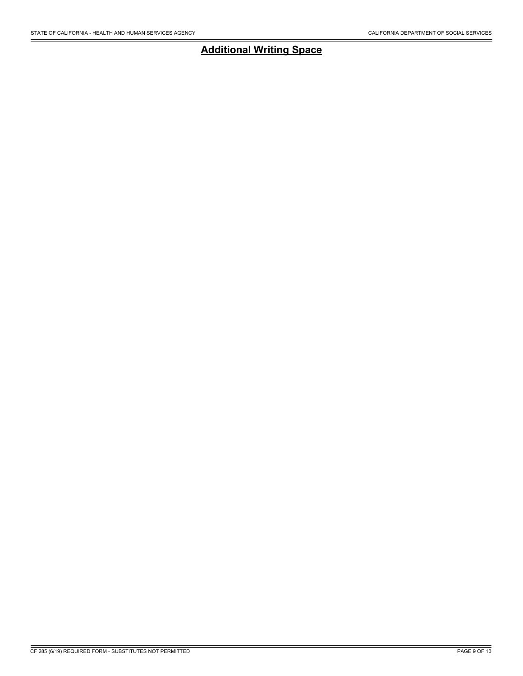# **Additional Writing Space**